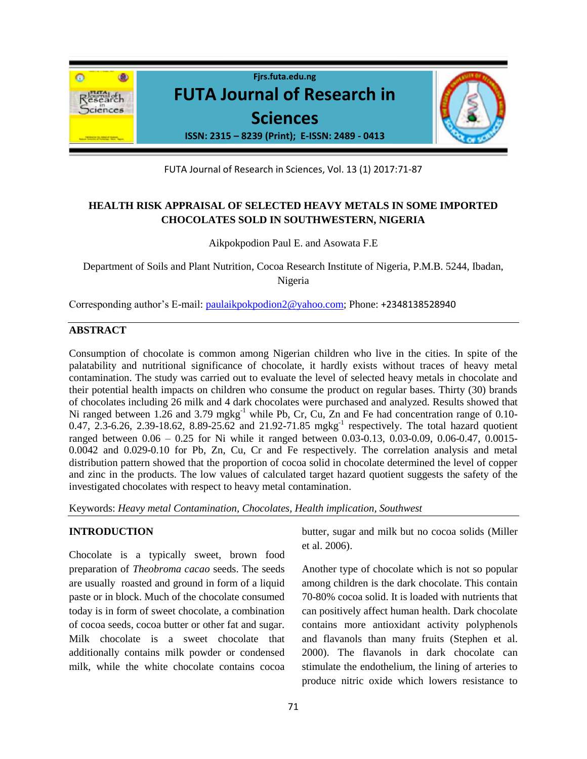

FUTA Journal of Research in Sciences, Vol. 13 (1) 2017:71-87

# **HEALTH RISK APPRAISAL OF SELECTED HEAVY METALS IN SOME IMPORTED CHOCOLATES SOLD IN SOUTHWESTERN, NIGERIA**

Aikpokpodion Paul E. and Asowata F.E

Department of Soils and Plant Nutrition, Cocoa Research Institute of Nigeria, P.M.B. 5244, Ibadan, Nigeria

Corresponding author's E-mail: [paulaikpokpodion2@yahoo.com;](mailto:paulaikpokpodion2@yahoo.com) Phone: +2348138528940

## **ABSTRACT**

Consumption of chocolate is common among Nigerian children who live in the cities. In spite of the palatability and nutritional significance of chocolate, it hardly exists without traces of heavy metal contamination. The study was carried out to evaluate the level of selected heavy metals in chocolate and their potential health impacts on children who consume the product on regular bases. Thirty (30) brands of chocolates including 26 milk and 4 dark chocolates were purchased and analyzed. Results showed that Ni ranged between 1.26 and 3.79 mgkg<sup>-1</sup> while Pb, Cr, Cu, Zn and Fe had concentration range of 0.10-0.47, 2.3-6.26, 2.39-18.62, 8.89-25.62 and 21.92-71.85 mgkg<sup>-1</sup> respectively. The total hazard quotient ranged between 0.06 – 0.25 for Ni while it ranged between 0.03-0.13, 0.03-0.09, 0.06-0.47, 0.0015- 0.0042 and 0.029-0.10 for Pb, Zn, Cu, Cr and Fe respectively. The correlation analysis and metal distribution pattern showed that the proportion of cocoa solid in chocolate determined the level of copper and zinc in the products. The low values of calculated target hazard quotient suggests the safety of the investigated chocolates with respect to heavy metal contamination.

Keywords: *Heavy metal Contamination, Chocolates, Health implication, Southwest*

## **INTRODUCTION**

Chocolate is a typically sweet, brown food preparation of *Theobroma cacao* seeds. The seeds are usually roasted and ground in form of a liquid paste or in block. Much of the chocolate consumed today is in form of sweet chocolate, a combination of cocoa seeds, cocoa butter or other fat and sugar. Milk chocolate is a sweet chocolate that additionally contains milk powder or condensed milk, while the white chocolate contains cocoa butter, sugar and milk but no cocoa solids (Miller et al. 2006).

Another type of chocolate which is not so popular among children is the dark chocolate. This contain 70-80% cocoa solid. It is loaded with nutrients that can positively affect human health. Dark chocolate contains more antioxidant activity polyphenols and flavanols than many fruits (Stephen et al. 2000). The flavanols in dark chocolate can stimulate the endothelium, the lining of arteries to produce nitric oxide which lowers resistance to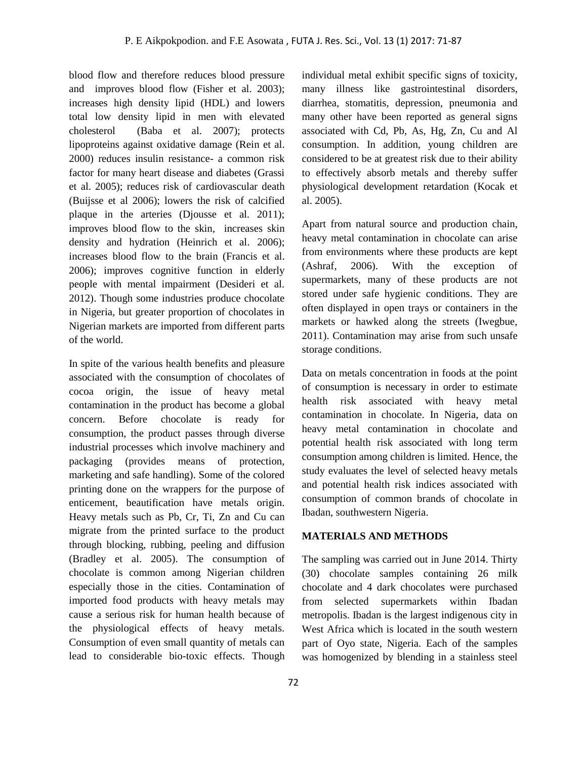blood flow and therefore reduces blood pressure and improves blood flow (Fisher et al. 2003); increases high density lipid (HDL) and lowers total low density lipid in men with elevated cholesterol (Baba et al. 2007); protects lipoproteins against oxidative damage (Rein et al. 2000) reduces insulin resistance- a common risk factor for many heart disease and diabetes (Grassi et al. 2005); reduces risk of cardiovascular death (Buijsse et al 2006); lowers the risk of calcified plaque in the arteries (Djousse et al. 2011); improves blood flow to the skin, increases skin density and hydration (Heinrich et al. 2006); increases blood flow to the brain (Francis et al. 2006); improves cognitive function in elderly people with mental impairment (Desideri et al. 2012). Though some industries produce chocolate in Nigeria, but greater proportion of chocolates in Nigerian markets are imported from different parts of the world.

In spite of the various health benefits and pleasure associated with the consumption of chocolates of cocoa origin, the issue of heavy metal contamination in the product has become a global concern. Before chocolate is ready for consumption, the product passes through diverse industrial processes which involve machinery and packaging (provides means of protection, marketing and safe handling). Some of the colored printing done on the wrappers for the purpose of enticement, beautification have metals origin. Heavy metals such as Pb, Cr, Ti, Zn and Cu can migrate from the printed surface to the product through blocking, rubbing, peeling and diffusion (Bradley et al. 2005). The consumption of chocolate is common among Nigerian children especially those in the cities. Contamination of imported food products with heavy metals may cause a serious risk for human health because of the physiological effects of heavy metals. Consumption of even small quantity of metals can lead to considerable bio-toxic effects. Though

individual metal exhibit specific signs of toxicity, many illness like gastrointestinal disorders, diarrhea, stomatitis, depression, pneumonia and many other have been reported as general signs associated with Cd, Pb, As, Hg, Zn, Cu and Al consumption. In addition, young children are considered to be at greatest risk due to their ability to effectively absorb metals and thereby suffer physiological development retardation (Kocak et al. 2005).

Apart from natural source and production chain, heavy metal contamination in chocolate can arise from environments where these products are kept (Ashraf, 2006). With the exception of supermarkets, many of these products are not stored under safe hygienic conditions. They are often displayed in open trays or containers in the markets or hawked along the streets (Iwegbue, 2011). Contamination may arise from such unsafe storage conditions.

Data on metals concentration in foods at the point of consumption is necessary in order to estimate health risk associated with heavy metal contamination in chocolate. In Nigeria, data on heavy metal contamination in chocolate and potential health risk associated with long term consumption among children is limited. Hence, the study evaluates the level of selected heavy metals and potential health risk indices associated with consumption of common brands of chocolate in Ibadan, southwestern Nigeria.

#### **MATERIALS AND METHODS**

The sampling was carried out in June 2014. Thirty (30) chocolate samples containing 26 milk chocolate and 4 dark chocolates were purchased from selected supermarkets within Ibadan metropolis. Ibadan is the largest indigenous city in West Africa which is located in the south western part of Oyo state, Nigeria. Each of the samples was homogenized by blending in a stainless steel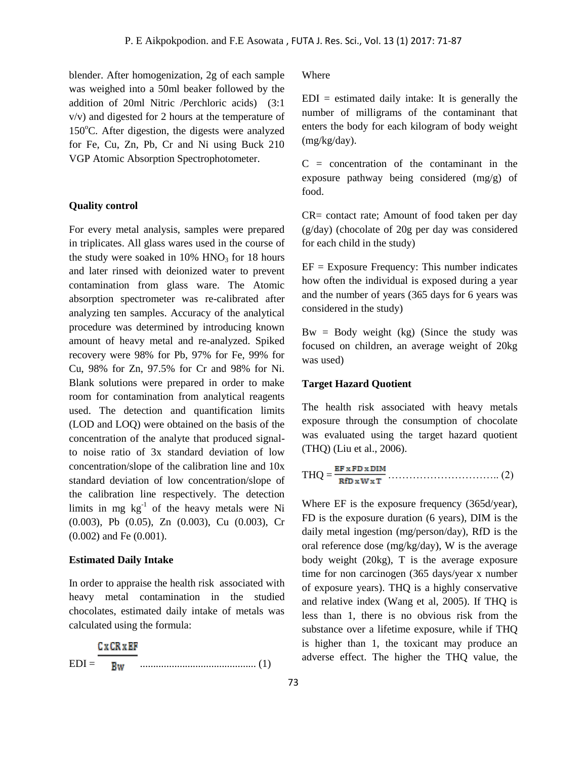blender. After homogenization, 2g of each sample was weighed into a 50ml beaker followed by the addition of 20ml Nitric /Perchloric acids) (3:1 v/v) and digested for 2 hours at the temperature of  $150^{\circ}$ C. After digestion, the digests were analyzed for Fe, Cu, Zn, Pb, Cr and Ni using Buck 210 VGP Atomic Absorption Spectrophotometer.

## **Quality control**

For every metal analysis, samples were prepared in triplicates. All glass wares used in the course of the study were soaked in  $10\%$  HNO<sub>3</sub> for 18 hours and later rinsed with deionized water to prevent contamination from glass ware. The Atomic absorption spectrometer was re-calibrated after analyzing ten samples. Accuracy of the analytical procedure was determined by introducing known amount of heavy metal and re-analyzed. Spiked recovery were 98% for Pb, 97% for Fe, 99% for Cu, 98% for Zn, 97.5% for Cr and 98% for Ni. Blank solutions were prepared in order to make room for contamination from analytical reagents used. The detection and quantification limits (LOD and LOQ) were obtained on the basis of the concentration of the analyte that produced signalto noise ratio of 3x standard deviation of low concentration/slope of the calibration line and 10x standard deviation of low concentration/slope of the calibration line respectively. The detection limits in mg  $kg^{-1}$  of the heavy metals were Ni (0.003), Pb (0.05), Zn (0.003), Cu (0.003), Cr (0.002) and Fe (0.001).

#### **Estimated Daily Intake**

In order to appraise the health risk associated with heavy metal contamination in the studied chocolates, estimated daily intake of metals was calculated using the formula:

|         | C v CR v KR |  |
|---------|-------------|--|
| $EDI =$ |             |  |

Where

 $EDI =$  estimated daily intake: It is generally the number of milligrams of the contaminant that enters the body for each kilogram of body weight (mg/kg/day).

 $C =$  concentration of the contaminant in the exposure pathway being considered (mg/g) of food.

CR= contact rate; Amount of food taken per day (g/day) (chocolate of 20g per day was considered for each child in the study)

 $EF = Exposure Frequency: This number indicates$ how often the individual is exposed during a year and the number of years (365 days for 6 years was considered in the study)

 $Bw = Body weight (kg)$  (Since the study was focused on children, an average weight of 20kg was used)

#### **Target Hazard Quotient**

The health risk associated with heavy metals exposure through the consumption of chocolate was evaluated using the target hazard quotient (THQ) (Liu et al., 2006).

$$
THQ = \frac{\text{EF } x \text{FD } x \text{ DIM}}{\text{RfD } x \text{W } x \text{T}} \dots \dots \dots \dots \dots \dots \dots \dots \dots \dots \dots \dots \dots \tag{2}
$$

Where EF is the exposure frequency (365d/year), FD is the exposure duration (6 years), DIM is the daily metal ingestion (mg/person/day), RfD is the oral reference dose (mg/kg/day), W is the average body weight (20kg), T is the average exposure time for non carcinogen (365 days/year x number of exposure years). THQ is a highly conservative and relative index (Wang et al, 2005). If THQ is less than 1, there is no obvious risk from the substance over a lifetime exposure, while if THQ is higher than 1, the toxicant may produce an adverse effect. The higher the THQ value, the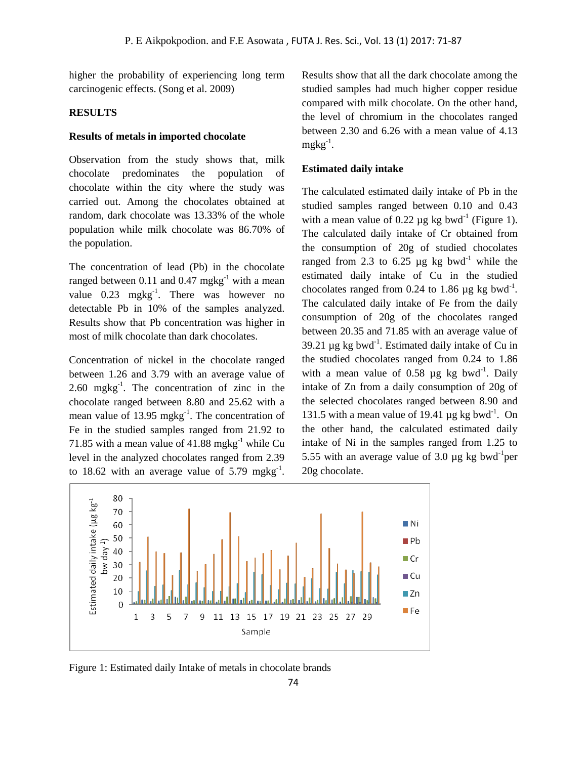higher the probability of experiencing long term carcinogenic effects. (Song et al. 2009)

## **RESULTS**

#### **Results of metals in imported chocolate**

Observation from the study shows that, milk chocolate predominates the population of chocolate within the city where the study was carried out. Among the chocolates obtained at random, dark chocolate was 13.33% of the whole population while milk chocolate was 86.70% of the population.

The concentration of lead (Pb) in the chocolate ranged between 0.11 and 0.47 mgkg<sup>-1</sup> with a mean value  $0.23 \text{ mgkg}^{-1}$ . There was however no detectable Pb in 10% of the samples analyzed. Results show that Pb concentration was higher in most of milk chocolate than dark chocolates.

Concentration of nickel in the chocolate ranged between 1.26 and 3.79 with an average value of  $2.60$  mgkg<sup>-1</sup>. The concentration of zinc in the chocolate ranged between 8.80 and 25.62 with a mean value of 13.95 mgkg $^{-1}$ . The concentration of Fe in the studied samples ranged from 21.92 to 71.85 with a mean value of  $41.88$  mgkg<sup>-1</sup> while Cu level in the analyzed chocolates ranged from 2.39 to 18.62 with an average value of 5.79 mgkg<sup>-1</sup>. Results show that all the dark chocolate among the studied samples had much higher copper residue compared with milk chocolate. On the other hand, the level of chromium in the chocolates ranged between 2.30 and 6.26 with a mean value of 4.13  $m$ gkg<sup>-1</sup>.

## **Estimated daily intake**

The calculated estimated daily intake of Pb in the studied samples ranged between 0.10 and 0.43 with a mean value of 0.22  $\mu$ g kg bwd<sup>-1</sup> (Figure 1). The calculated daily intake of Cr obtained from the consumption of 20g of studied chocolates ranged from 2.3 to 6.25  $\mu$ g kg bwd<sup>-1</sup> while the estimated daily intake of Cu in the studied chocolates ranged from 0.24 to 1.86  $\mu$ g kg bwd<sup>-1</sup>. The calculated daily intake of Fe from the daily consumption of 20g of the chocolates ranged between 20.35 and 71.85 with an average value of 39.21  $\mu$ g kg bwd<sup>-1</sup>. Estimated daily intake of Cu in the studied chocolates ranged from 0.24 to 1.86 with a mean value of 0.58  $\mu$ g kg bwd<sup>-1</sup>. Daily intake of Zn from a daily consumption of 20g of the selected chocolates ranged between 8.90 and 131.5 with a mean value of 19.41  $\mu$ g kg bwd<sup>-1</sup>. On the other hand, the calculated estimated daily intake of Ni in the samples ranged from 1.25 to 5.55 with an average value of 3.0  $\mu$ g kg bwd<sup>-1</sup>per 20g chocolate.



Figure 1: Estimated daily Intake of metals in chocolate brands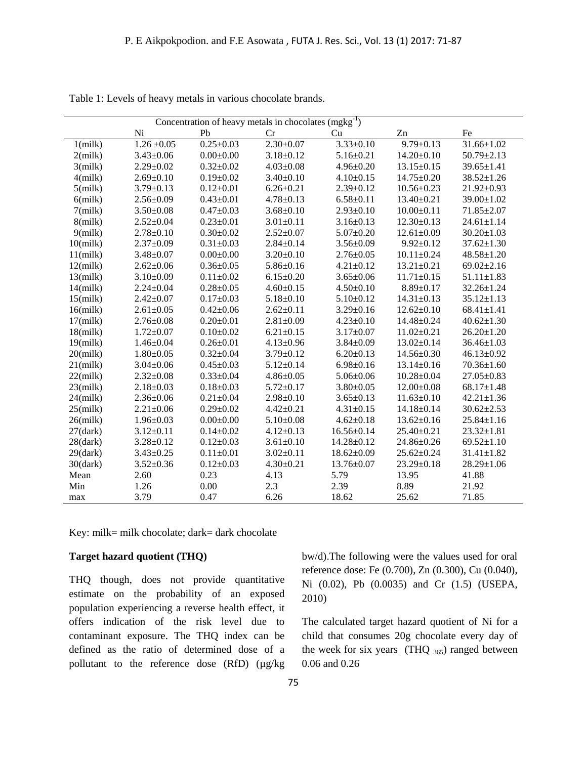| Concentration of heavy metals in chocolates $(mgkg^{-1})$ |                 |                 |                 |                  |                  |                  |
|-----------------------------------------------------------|-----------------|-----------------|-----------------|------------------|------------------|------------------|
|                                                           | Ni              | Pb              | Cr              | Cu               | Zn               | Fe               |
| $1$ (milk)                                                | $1.26 \pm 0.05$ | $0.25 \pm 0.03$ | $2.30 \pm 0.07$ | $3.33 \pm 0.10$  | $9.79 \pm 0.13$  | $31.66 \pm 1.02$ |
| $2$ (milk)                                                | $3.43 \pm 0.06$ | $0.00 \pm 0.00$ | $3.18 \pm 0.12$ | $5.16 \pm 0.21$  | $14.20 \pm 0.10$ | $50.79 \pm 2.13$ |
| $3$ (milk)                                                | $2.29 \pm 0.02$ | $0.32 \pm 0.02$ | $4.03 \pm 0.08$ | $4.96 \pm 0.20$  | $13.15 \pm 0.15$ | $39.65 \pm 1.41$ |
| $4$ (milk)                                                | $2.69 \pm 0.10$ | $0.19 \pm 0.02$ | $3.40 \pm 0.10$ | $4.10 \pm 0.15$  | $14.75 \pm 0.20$ | $38.52 \pm 1.26$ |
| $5$ (milk)                                                | $3.79 \pm 0.13$ | $0.12 \pm 0.01$ | $6.26 \pm 0.21$ | $2.39 \pm 0.12$  | $10.56 \pm 0.23$ | $21.92 \pm 0.93$ |
| $6$ (milk)                                                | $2.56 \pm 0.09$ | $0.43 \pm 0.01$ | $4.78 \pm 0.13$ | $6.58 \pm 0.11$  | 13.40±0.21       | $39.00 \pm 1.02$ |
| $7$ (milk)                                                | $3.50 \pm 0.08$ | $0.47 + 0.03$   | $3.68 \pm 0.10$ | $2.93 \pm 0.10$  | $10.00 \pm 0.11$ | $71.85 \pm 2.07$ |
| $8$ (milk)                                                | $2.52 \pm 0.04$ | $0.23 \pm 0.01$ | $3.01 \pm 0.11$ | $3.16 \pm 0.13$  | $12.30 \pm 0.13$ | $24.61 \pm 1.14$ |
| $9$ (milk)                                                | $2.78 \pm 0.10$ | $0.30 \pm 0.02$ | $2.52 \pm 0.07$ | $5.07 \pm 0.20$  | $12.61 \pm 0.09$ | $30.20 \pm 1.03$ |
| $10$ (milk)                                               | $2.37 \pm 0.09$ | $0.31 \pm 0.03$ | $2.84 \pm 0.14$ | $3.56 \pm 0.09$  | $9.92 \pm 0.12$  | $37.62 \pm 1.30$ |
| $11$ (milk)                                               | $3.48 \pm 0.07$ | $0.00 \pm 0.00$ | $3.20 \pm 0.10$ | $2.76 \pm 0.05$  | $10.11 \pm 0.24$ | $48.58 \pm 1.20$ |
| $12$ (milk)                                               | $2.62 \pm 0.06$ | $0.36 \pm 0.05$ | $5.86 \pm 0.16$ | $4.21 \pm 0.12$  | $13.21 \pm 0.21$ | $69.02 \pm 2.16$ |
| $13$ (milk)                                               | $3.10 \pm 0.09$ | $0.11 \pm 0.02$ | $6.15 \pm 0.20$ | $3.65 \pm 0.06$  | $11.71 \pm 0.15$ | $51.11 \pm 1.83$ |
| $14$ (milk)                                               | $2.24 \pm 0.04$ | $0.28 + 0.05$   | $4.60 \pm 0.15$ | $4.50 \pm 0.10$  | $8.89 \pm 0.17$  | $32.26 \pm 1.24$ |
| $15$ (milk)                                               | $2.42 \pm 0.07$ | $0.17 \pm 0.03$ | $5.18 \pm 0.10$ | $5.10 \pm 0.12$  | $14.31 \pm 0.13$ | $35.12 \pm 1.13$ |
| $16$ (milk)                                               | $2.61 \pm 0.05$ | $0.42 \pm 0.06$ | $2.62 \pm 0.11$ | $3.29 \pm 0.16$  | $12.62 \pm 0.10$ | $68.41 \pm 1.41$ |
| $17$ (milk)                                               | $2.76 \pm 0.08$ | $0.20 \pm 0.01$ | $2.81 \pm 0.09$ | $4.23 \pm 0.10$  | $14.48 \pm 0.24$ | $40.62 \pm 1.30$ |
| $18$ (milk)                                               | $1.72 \pm 0.07$ | $0.10 \pm 0.02$ | $6.21 \pm 0.15$ | $3.17 \pm 0.07$  | $11.02 \pm 0.21$ | $26.20 \pm 1.20$ |
| $19$ (milk)                                               | $1.46 \pm 0.04$ | $0.26 \pm 0.01$ | $4.13 \pm 0.96$ | $3.84 \pm 0.09$  | $13.02 \pm 0.14$ | $36.46 \pm 1.03$ |
| $20$ (milk)                                               | $1.80 \pm 0.05$ | $0.32 \pm 0.04$ | $3.79 \pm 0.12$ | $6.20 \pm 0.13$  | $14.56 \pm 0.30$ | $46.13 \pm 0.92$ |
| $21$ (milk)                                               | $3.04 \pm 0.06$ | $0.45 \pm 0.03$ | $5.12 \pm 0.14$ | $6.98 \pm 0.16$  | $13.14 \pm 0.16$ | $70.36 \pm 1.60$ |
| $22$ (milk)                                               | $2.32 \pm 0.08$ | $0.33 \pm 0.04$ | $4.86 \pm 0.05$ | $5.06 \pm 0.06$  | $10.28 \pm 0.04$ | $27.05 \pm 0.83$ |
| $23$ (milk)                                               | $2.18 \pm 0.03$ | $0.18 \pm 0.03$ | $5.72 \pm 0.17$ | $3.80 \pm 0.05$  | $12.00 \pm 0.08$ | $68.17 \pm 1.48$ |
| $24$ (milk)                                               | $2.36 \pm 0.06$ | $0.21 \pm 0.04$ | $2.98 \pm 0.10$ | $3.65 \pm 0.13$  | $11.63 \pm 0.10$ | $42.21 \pm 1.36$ |
| $25$ (milk)                                               | $2.21 \pm 0.06$ | $0.29 \pm 0.02$ | $4.42 \pm 0.21$ | $4.31 \pm 0.15$  | $14.18 \pm 0.14$ | $30.62 \pm 2.53$ |
| $26$ (milk)                                               | $1.96 \pm 0.03$ | $0.00 \pm 0.00$ | $5.10 \pm 0.08$ | $4.62 \pm 0.18$  | $13.62 \pm 0.16$ | $25.84 \pm 1.16$ |
| $27$ (dark)                                               | $3.12 \pm 0.11$ | $0.14 \pm 0.02$ | $4.12 \pm 0.13$ | $16.56 \pm 0.14$ | 25.40±0.21       | $23.32 \pm 1.81$ |
| $28$ (dark)                                               | $3.28 \pm 0.12$ | $0.12 \pm 0.03$ | $3.61 \pm 0.10$ | 14.28±0.12       | 24.86±0.26       | $69.52 \pm 1.10$ |
| $29$ (dark)                                               | $3.43 \pm 0.25$ | $0.11 \pm 0.01$ | $3.02 \pm 0.11$ | $18.62 \pm 0.09$ | $25.62 \pm 0.24$ | $31.41 \pm 1.82$ |
| $30$ (dark)                                               | $3.52 \pm 0.36$ | $0.12 \pm 0.03$ | $4.30 \pm 0.21$ | 13.76±0.07       | $23.29 \pm 0.18$ | $28.29 \pm 1.06$ |
| Mean                                                      | 2.60            | 0.23            | 4.13            | 5.79             | 13.95            | 41.88            |
| Min                                                       | 1.26            | 0.00            | 2.3             | 2.39             | 8.89             | 21.92            |
| max                                                       | 3.79            | 0.47            | 6.26            | 18.62            | 25.62            | 71.85            |

Table 1: Levels of heavy metals in various chocolate brands.

Key: milk= milk chocolate; dark= dark chocolate

### **Target hazard quotient (THQ)**

THQ though, does not provide quantitative estimate on the probability of an exposed population experiencing a reverse health effect, it offers indication of the risk level due to contaminant exposure. The THQ index can be defined as the ratio of determined dose of a pollutant to the reference dose (RfD) ( $\mu$ g/kg

bw/d).The following were the values used for oral reference dose: Fe (0.700), Zn (0.300), Cu (0.040), Ni (0.02), Pb (0.0035) and Cr (1.5) (USEPA, 2010)

The calculated target hazard quotient of Ni for a child that consumes 20g chocolate every day of the week for six years (THQ  $_{365}$ ) ranged between 0.06 and 0.26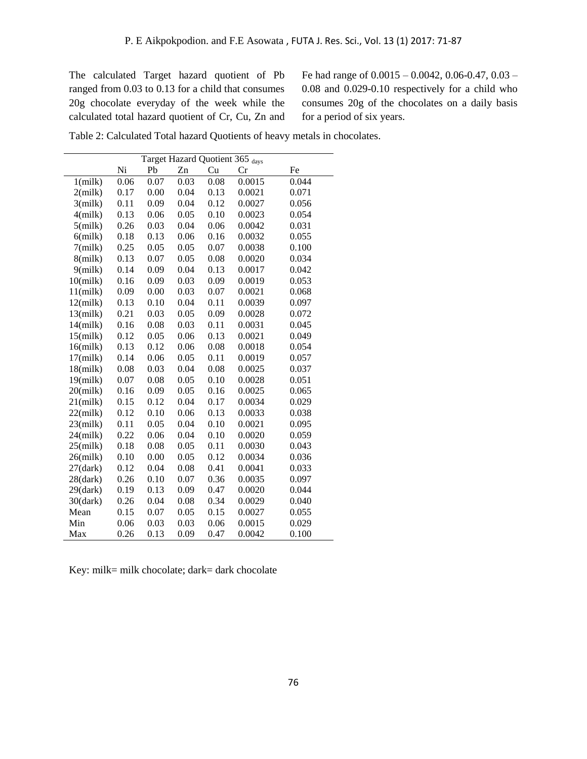The calculated Target hazard quotient of Pb ranged from 0.03 to 0.13 for a child that consumes 20g chocolate everyday of the week while the calculated total hazard quotient of Cr, Cu, Zn and

Fe had range of 0.0015 – 0.0042, 0.06-0.47, 0.03 – 0.08 and 0.029-0.10 respectively for a child who consumes 20g of the chocolates on a daily basis for a period of six years.

| Table 2: Calculated Total hazard Quotients of heavy metals in chocolates. |  |  |
|---------------------------------------------------------------------------|--|--|
|---------------------------------------------------------------------------|--|--|

|             | Target Hazard Quotient 365 days |      |      |      |        |       |
|-------------|---------------------------------|------|------|------|--------|-------|
|             | Ni                              | Pb   | Zn   | Cu   | Cr     | Fe    |
| $1$ (milk)  | 0.06                            | 0.07 | 0.03 | 0.08 | 0.0015 | 0.044 |
| $2$ (milk)  | 0.17                            | 0.00 | 0.04 | 0.13 | 0.0021 | 0.071 |
| $3$ (milk)  | 0.11                            | 0.09 | 0.04 | 0.12 | 0.0027 | 0.056 |
| $4$ (milk)  | 0.13                            | 0.06 | 0.05 | 0.10 | 0.0023 | 0.054 |
| $5$ (milk)  | 0.26                            | 0.03 | 0.04 | 0.06 | 0.0042 | 0.031 |
| $6$ (milk)  | 0.18                            | 0.13 | 0.06 | 0.16 | 0.0032 | 0.055 |
| $7$ (milk)  | 0.25                            | 0.05 | 0.05 | 0.07 | 0.0038 | 0.100 |
| $8$ (milk)  | 0.13                            | 0.07 | 0.05 | 0.08 | 0.0020 | 0.034 |
| $9$ (milk)  | 0.14                            | 0.09 | 0.04 | 0.13 | 0.0017 | 0.042 |
| $10$ (milk) | 0.16                            | 0.09 | 0.03 | 0.09 | 0.0019 | 0.053 |
| $11$ (milk) | 0.09                            | 0.00 | 0.03 | 0.07 | 0.0021 | 0.068 |
| $12$ (milk) | 0.13                            | 0.10 | 0.04 | 0.11 | 0.0039 | 0.097 |
| $13$ (milk) | 0.21                            | 0.03 | 0.05 | 0.09 | 0.0028 | 0.072 |
| $14$ (milk) | 0.16                            | 0.08 | 0.03 | 0.11 | 0.0031 | 0.045 |
| $15$ (milk) | 0.12                            | 0.05 | 0.06 | 0.13 | 0.0021 | 0.049 |
| $16$ (milk) | 0.13                            | 0.12 | 0.06 | 0.08 | 0.0018 | 0.054 |
| $17$ (milk) | 0.14                            | 0.06 | 0.05 | 0.11 | 0.0019 | 0.057 |
| $18$ (milk) | 0.08                            | 0.03 | 0.04 | 0.08 | 0.0025 | 0.037 |
| $19$ (milk) | 0.07                            | 0.08 | 0.05 | 0.10 | 0.0028 | 0.051 |
| $20$ (milk) | 0.16                            | 0.09 | 0.05 | 0.16 | 0.0025 | 0.065 |
| $21$ (milk) | 0.15                            | 0.12 | 0.04 | 0.17 | 0.0034 | 0.029 |
| $22$ (milk) | 0.12                            | 0.10 | 0.06 | 0.13 | 0.0033 | 0.038 |
| $23$ (milk) | 0.11                            | 0.05 | 0.04 | 0.10 | 0.0021 | 0.095 |
| $24$ (milk) | 0.22                            | 0.06 | 0.04 | 0.10 | 0.0020 | 0.059 |
| $25$ (milk) | 0.18                            | 0.08 | 0.05 | 0.11 | 0.0030 | 0.043 |
| $26$ (milk) | 0.10                            | 0.00 | 0.05 | 0.12 | 0.0034 | 0.036 |
| $27$ (dark) | 0.12                            | 0.04 | 0.08 | 0.41 | 0.0041 | 0.033 |
| $28$ (dark) | 0.26                            | 0.10 | 0.07 | 0.36 | 0.0035 | 0.097 |
| $29$ (dark) | 0.19                            | 0.13 | 0.09 | 0.47 | 0.0020 | 0.044 |
| $30$ (dark) | 0.26                            | 0.04 | 0.08 | 0.34 | 0.0029 | 0.040 |
| Mean        | 0.15                            | 0.07 | 0.05 | 0.15 | 0.0027 | 0.055 |
| Min         | 0.06                            | 0.03 | 0.03 | 0.06 | 0.0015 | 0.029 |
| Max         | 0.26                            | 0.13 | 0.09 | 0.47 | 0.0042 | 0.100 |

Key: milk= milk chocolate; dark= dark chocolate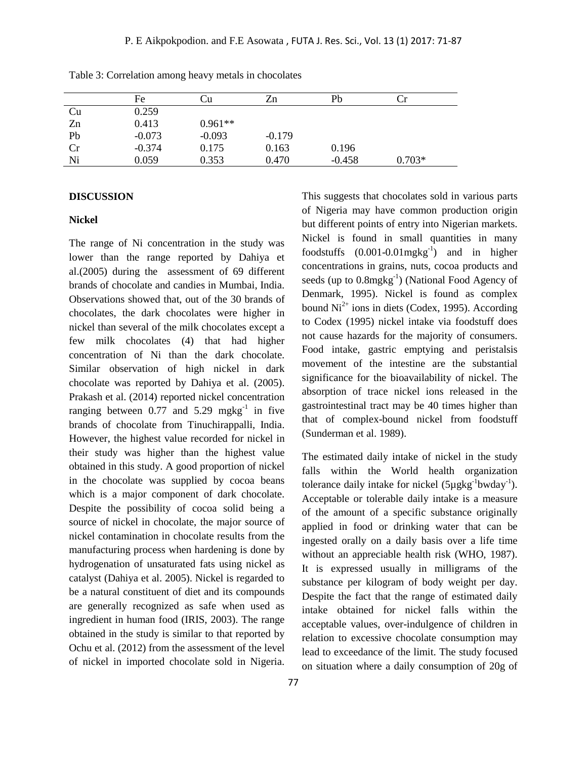|    | Fe       | ∪u        | Zn       | Pb       | ∴r       |
|----|----------|-----------|----------|----------|----------|
| Cu | 0.259    |           |          |          |          |
| Zn | 0.413    | $0.961**$ |          |          |          |
| Pb | $-0.073$ | $-0.093$  | $-0.179$ |          |          |
| Cr | $-0.374$ | 0.175     | 0.163    | 0.196    |          |
| Ni | 0.059    | 0.353     | 0.470    | $-0.458$ | $0.703*$ |

Table 3: Correlation among heavy metals in chocolates

### **DISCUSSION**

#### **Nickel**

The range of Ni concentration in the study was lower than the range reported by Dahiya et al.(2005) during the assessment of 69 different brands of chocolate and candies in Mumbai, India. Observations showed that, out of the 30 brands of chocolates, the dark chocolates were higher in nickel than several of the milk chocolates except a few milk chocolates (4) that had higher concentration of Ni than the dark chocolate. Similar observation of high nickel in dark chocolate was reported by Dahiya et al. (2005). Prakash et al. (2014) reported nickel concentration ranging between 0.77 and  $5.29 \text{ mgkg}^{-1}$  in five brands of chocolate from Tinuchirappalli, India. However, the highest value recorded for nickel in their study was higher than the highest value obtained in this study. A good proportion of nickel in the chocolate was supplied by cocoa beans which is a major component of dark chocolate. Despite the possibility of cocoa solid being a source of nickel in chocolate, the major source of nickel contamination in chocolate results from the manufacturing process when hardening is done by hydrogenation of unsaturated fats using nickel as catalyst (Dahiya et al. 2005). Nickel is regarded to be a natural constituent of diet and its compounds are generally recognized as safe when used as ingredient in human food (IRIS, 2003). The range obtained in the study is similar to that reported by Ochu et al. (2012) from the assessment of the level of nickel in imported chocolate sold in Nigeria.

This suggests that chocolates sold in various parts of Nigeria may have common production origin but different points of entry into Nigerian markets. Nickel is found in small quantities in many foodstuffs  $(0.001 - 0.01$  mgkg<sup>-1</sup>) and in higher concentrations in grains, nuts, cocoa products and seeds (up to  $0.8$ mg $\text{kg}^{-1}$ ) (National Food Agency of Denmark, 1995). Nickel is found as complex bound  $Ni^{2+}$  ions in diets (Codex, 1995). According to Codex (1995) nickel intake via foodstuff does not cause hazards for the majority of consumers. Food intake, gastric emptying and peristalsis movement of the intestine are the substantial significance for the bioavailability of nickel. The absorption of trace nickel ions released in the gastrointestinal tract may be 40 times higher than that of complex-bound nickel from foodstuff (Sunderman et al. 1989).

The estimated daily intake of nickel in the study falls within the World health organization tolerance daily intake for nickel  $(5\mu g kg^{-1}bwday^{-1})$ . Acceptable or tolerable daily intake is a measure of the amount of a specific substance originally applied in food or drinking water that can be ingested orally on a daily basis over a life time without an appreciable health risk (WHO, 1987). It is expressed usually in milligrams of the substance per kilogram of body weight per day. Despite the fact that the range of estimated daily intake obtained for nickel falls within the acceptable values, over-indulgence of children in relation to excessive chocolate consumption may lead to exceedance of the limit. The study focused on situation where a daily consumption of 20g of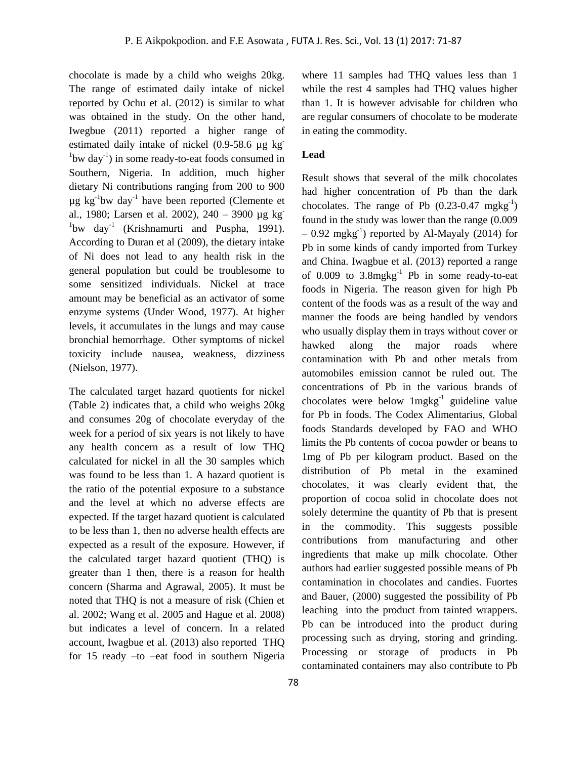chocolate is made by a child who weighs 20kg. The range of estimated daily intake of nickel reported by Ochu et al. (2012) is similar to what was obtained in the study. On the other hand, Iwegbue (2011) reported a higher range of estimated daily intake of nickel (0.9-58.6 µg kg- $1$ bw day $^{-1}$ ) in some ready-to-eat foods consumed in Southern, Nigeria. In addition, much higher dietary Ni contributions ranging from 200 to 900  $\mu$ g kg<sup>-1</sup>bw day<sup>-1</sup> have been reported (Clemente et al., 1980; Larsen et al. 2002), 240 – 3900 µg kg- $1$ bw day<sup>-1</sup> (Krishnamurti and Puspha, 1991). According to Duran et al (2009), the dietary intake of Ni does not lead to any health risk in the general population but could be troublesome to some sensitized individuals. Nickel at trace amount may be beneficial as an activator of some enzyme systems (Under Wood, 1977). At higher levels, it accumulates in the lungs and may cause bronchial hemorrhage. Other symptoms of nickel toxicity include nausea, weakness, dizziness (Nielson, 1977).

The calculated target hazard quotients for nickel (Table 2) indicates that, a child who weighs 20kg and consumes 20g of chocolate everyday of the week for a period of six years is not likely to have any health concern as a result of low THQ calculated for nickel in all the 30 samples which was found to be less than 1. A hazard quotient is the ratio of the potential exposure to a substance and the level at which no adverse effects are expected. If the target hazard quotient is calculated to be less than 1, then no adverse health effects are expected as a result of the exposure. However, if the calculated target hazard quotient (THQ) is greater than 1 then, there is a reason for health concern (Sharma and Agrawal, 2005). It must be noted that THQ is not a measure of risk (Chien et al. 2002; Wang et al. 2005 and Hague et al. 2008) but indicates a level of concern. In a related account, Iwagbue et al. (2013) also reported THQ for 15 ready –to –eat food in southern Nigeria where 11 samples had THO values less than 1 while the rest 4 samples had THQ values higher than 1. It is however advisable for children who are regular consumers of chocolate to be moderate in eating the commodity.

### **Lead**

Result shows that several of the milk chocolates had higher concentration of Pb than the dark chocolates. The range of Pb  $(0.23{\text -}0.47 \text{ mgkg}^{-1})$ found in the study was lower than the range (0.009  $-$  0.92 mgkg<sup>-1</sup>) reported by Al-Mayaly (2014) for Pb in some kinds of candy imported from Turkey and China. Iwagbue et al. (2013) reported a range of  $0.009$  to  $3.8 \text{mgkg}^{-1}$  Pb in some ready-to-eat foods in Nigeria. The reason given for high Pb content of the foods was as a result of the way and manner the foods are being handled by vendors who usually display them in trays without cover or hawked along the major roads where contamination with Pb and other metals from automobiles emission cannot be ruled out. The concentrations of Pb in the various brands of chocolates were below  $1$ mgkg $^{-1}$  guideline value for Pb in foods. The Codex Alimentarius, Global foods Standards developed by FAO and WHO limits the Pb contents of cocoa powder or beans to 1mg of Pb per kilogram product. Based on the distribution of Pb metal in the examined chocolates, it was clearly evident that, the proportion of cocoa solid in chocolate does not solely determine the quantity of Pb that is present in the commodity. This suggests possible contributions from manufacturing and other ingredients that make up milk chocolate. Other authors had earlier suggested possible means of Pb contamination in chocolates and candies. Fuortes and Bauer, (2000) suggested the possibility of Pb leaching into the product from tainted wrappers. Pb can be introduced into the product during processing such as drying, storing and grinding. Processing or storage of products in Pb contaminated containers may also contribute to Pb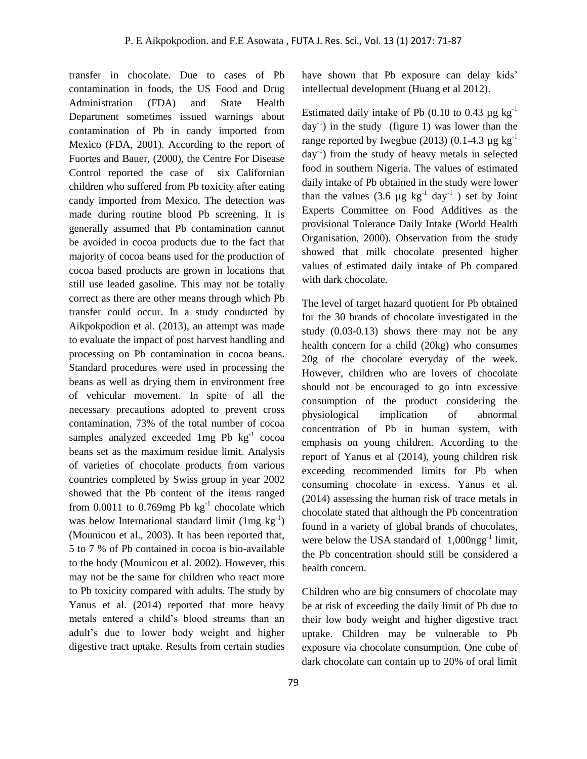transfer in chocolate. Due to cases of Pb contamination in foods, the US Food and Drug Administration (FDA) and State Health Department sometimes issued warnings about contamination of Pb in candy imported from Mexico (FDA, 2001). According to the report of Fuortes and Bauer, (2000), the Centre For Disease Control reported the case of six Californian children who suffered from Pb toxicity after eating candy imported from Mexico. The detection was made during routine blood Pb screening. It is generally assumed that Pb contamination cannot be avoided in cocoa products due to the fact that majority of cocoa beans used for the production of cocoa based products are grown in locations that still use leaded gasoline. This may not be totally correct as there are other means through which Pb transfer could occur. In a study conducted by Aikpokpodion et al. (2013), an attempt was made to evaluate the impact of post harvest handling and processing on Pb contamination in cocoa beans. Standard procedures were used in processing the beans as well as drying them in environment free of vehicular movement. In spite of all the necessary precautions adopted to prevent cross contamination, 73% of the total number of cocoa samples analyzed exceeded 1mg Pb  $kg^{-1}$  cocoa beans set as the maximum residue limit. Analysis of varieties of chocolate products from various countries completed by Swiss group in year 2002 showed that the Pb content of the items ranged from  $0.0011$  to  $0.769$ mg Pb  $\text{kg}^{-1}$  chocolate which was below International standard limit  $(1mg \text{ kg}^{-1})$ (Mounicou et al., 2003). It has been reported that, 5 to 7 % of Pb contained in cocoa is bio-available to the body (Mounicou et al. 2002). However, this may not be the same for children who react more to Pb toxicity compared with adults. The study by Yanus et al. (2014) reported that more heavy metals entered a child's blood streams than an adult's due to lower body weight and higher digestive tract uptake. Results from certain studies

have shown that Pb exposure can delay kids' intellectual development (Huang et al 2012).

Estimated daily intake of Pb  $(0.10 \text{ to } 0.43 \text{ µg kg}^{-1})$  $day^{-1}$ ) in the study (figure 1) was lower than the range reported by Iwegbue (2013) (0.1-4.3  $\mu$ g kg<sup>-1</sup> day-1 ) from the study of heavy metals in selected food in southern Nigeria. The values of estimated daily intake of Pb obtained in the study were lower than the values (3.6  $\mu$ g kg<sup>-1</sup> day<sup>-1</sup>) set by Joint Experts Committee on Food Additives as the provisional Tolerance Daily Intake (World Health Organisation, 2000). Observation from the study showed that milk chocolate presented higher values of estimated daily intake of Pb compared with dark chocolate.

The level of target hazard quotient for Pb obtained for the 30 brands of chocolate investigated in the study (0.03-0.13) shows there may not be any health concern for a child (20kg) who consumes 20g of the chocolate everyday of the week. However, children who are lovers of chocolate should not be encouraged to go into excessive consumption of the product considering the physiological implication of abnormal concentration of Pb in human system, with emphasis on young children. According to the report of Yanus et al (2014), young children risk exceeding recommended limits for Pb when consuming chocolate in excess. Yanus et al. (2014) assessing the human risk of trace metals in chocolate stated that although the Pb concentration found in a variety of global brands of chocolates, were below the USA standard of  $1,000$ ngg<sup>-1</sup> limit, the Pb concentration should still be considered a health concern.

Children who are big consumers of chocolate may be at risk of exceeding the daily limit of Pb due to their low body weight and higher digestive tract uptake. Children may be vulnerable to Pb exposure via chocolate consumption. One cube of dark chocolate can contain up to 20% of oral limit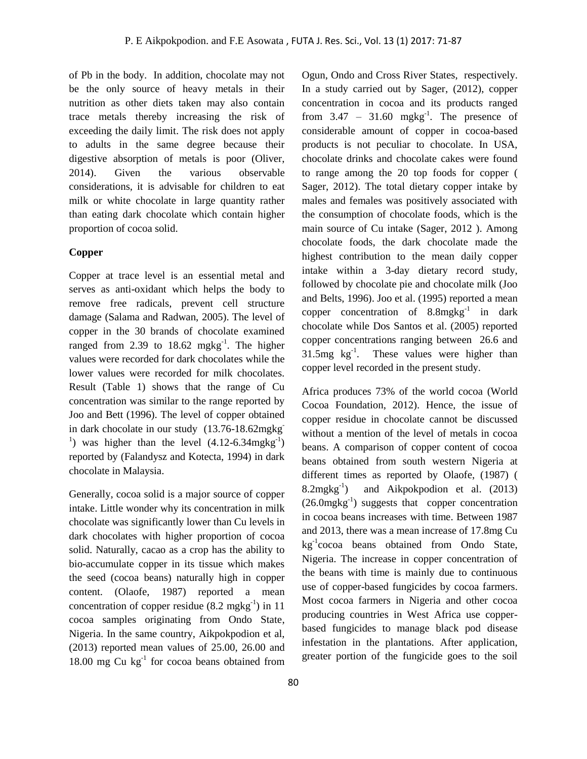of Pb in the body. In addition, chocolate may not be the only source of heavy metals in their nutrition as other diets taken may also contain trace metals thereby increasing the risk of exceeding the daily limit. The risk does not apply to adults in the same degree because their digestive absorption of metals is poor (Oliver, 2014). Given the various observable considerations, it is advisable for children to eat milk or white chocolate in large quantity rather than eating dark chocolate which contain higher proportion of cocoa solid.

### **Copper**

Copper at trace level is an essential metal and serves as anti-oxidant which helps the body to remove free radicals, prevent cell structure damage (Salama and Radwan, 2005). The level of copper in the 30 brands of chocolate examined ranged from 2.39 to  $18.62 \text{ m}$ gkg<sup>-1</sup>. The higher values were recorded for dark chocolates while the lower values were recorded for milk chocolates. Result (Table 1) shows that the range of Cu concentration was similar to the range reported by Joo and Bett (1996). The level of copper obtained in dark chocolate in our study (13.76-18.62mgkg-<sup>1</sup>) was higher than the level  $(4.12-6.34 \text{mgkg}^{-1})$ reported by (Falandysz and Kotecta, 1994) in dark chocolate in Malaysia.

Generally, cocoa solid is a major source of copper intake. Little wonder why its concentration in milk chocolate was significantly lower than Cu levels in dark chocolates with higher proportion of cocoa solid. Naturally, cacao as a crop has the ability to bio-accumulate copper in its tissue which makes the seed (cocoa beans) naturally high in copper content. (Olaofe, 1987) reported a mean concentration of copper residue  $(8.2 \text{ mgkg}^{-1})$  in 11 cocoa samples originating from Ondo State, Nigeria. In the same country, Aikpokpodion et al, (2013) reported mean values of 25.00, 26.00 and  $18.00 \text{ mg Cu kg}^{-1}$  for cocoa beans obtained from Ogun, Ondo and Cross River States, respectively. In a study carried out by Sager, (2012), copper concentration in cocoa and its products ranged from  $3.47 - 31.60$  mgkg<sup>-1</sup>. The presence of considerable amount of copper in cocoa-based products is not peculiar to chocolate. In USA, chocolate drinks and chocolate cakes were found to range among the 20 top foods for copper ( Sager, 2012). The total dietary copper intake by males and females was positively associated with the consumption of chocolate foods, which is the main source of Cu intake (Sager, 2012 ). Among chocolate foods, the dark chocolate made the highest contribution to the mean daily copper intake within a 3-day dietary record study, followed by chocolate pie and chocolate milk (Joo and Belts, 1996). Joo et al. (1995) reported a mean copper concentration of  $8.8 \text{mgkg}^{-1}$  in dark chocolate while Dos Santos et al. (2005) reported copper concentrations ranging between 26.6 and 31.5mg  $kg^{-1}$ . These values were higher than copper level recorded in the present study.

Africa produces 73% of the world cocoa (World Cocoa Foundation, 2012). Hence, the issue of copper residue in chocolate cannot be discussed without a mention of the level of metals in cocoa beans. A comparison of copper content of cocoa beans obtained from south western Nigeria at different times as reported by Olaofe, (1987) (  $8.2$ mgkg $^{-1}$ ) ) and Aikpokpodion et al. (2013)  $(26.0 \text{mgkg}^{-1})$  suggests that copper concentration in cocoa beans increases with time. Between 1987 and 2013, there was a mean increase of 17.8mg Cu kg<sup>-1</sup>cocoa beans obtained from Ondo State, Nigeria. The increase in copper concentration of the beans with time is mainly due to continuous use of copper-based fungicides by cocoa farmers. Most cocoa farmers in Nigeria and other cocoa producing countries in West Africa use copperbased fungicides to manage black pod disease infestation in the plantations. After application, greater portion of the fungicide goes to the soil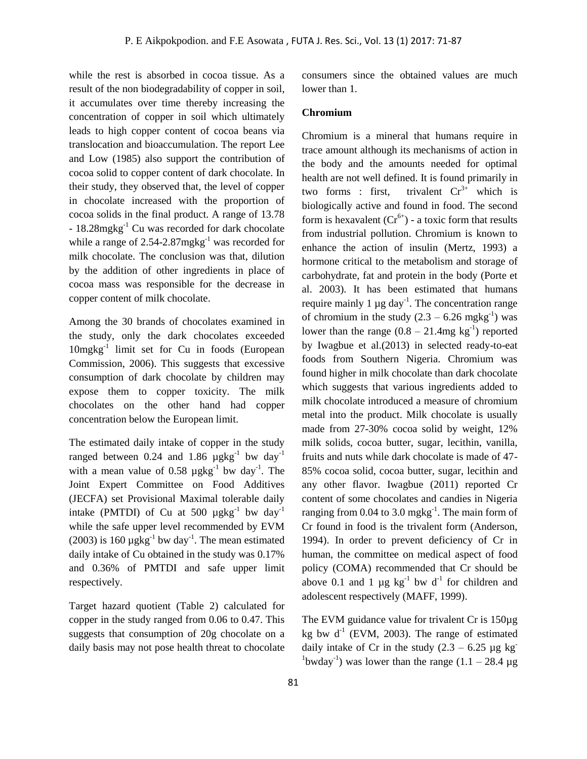while the rest is absorbed in cocoa tissue. As a result of the non biodegradability of copper in soil, it accumulates over time thereby increasing the concentration of copper in soil which ultimately leads to high copper content of cocoa beans via translocation and bioaccumulation. The report Lee and Low (1985) also support the contribution of cocoa solid to copper content of dark chocolate. In their study, they observed that, the level of copper in chocolate increased with the proportion of cocoa solids in the final product. A range of 13.78 - 18.28mgkg-1 Cu was recorded for dark chocolate while a range of  $2.54$ -2.87mg $kg^{-1}$  was recorded for milk chocolate. The conclusion was that, dilution by the addition of other ingredients in place of cocoa mass was responsible for the decrease in copper content of milk chocolate.

Among the 30 brands of chocolates examined in the study, only the dark chocolates exceeded 10mgkg-1 limit set for Cu in foods (European Commission, 2006). This suggests that excessive consumption of dark chocolate by children may expose them to copper toxicity. The milk chocolates on the other hand had copper concentration below the European limit.

The estimated daily intake of copper in the study ranged between 0.24 and 1.86  $\mu$ gkg<sup>-1</sup> bw day<sup>-1</sup> with a mean value of 0.58  $\mu$ gkg<sup>-1</sup> bw day<sup>-1</sup>. The Joint Expert Committee on Food Additives (JECFA) set Provisional Maximal tolerable daily intake (PMTDI) of Cu at 500  $\mu$ gkg<sup>-1</sup> bw day<sup>-1</sup> while the safe upper level recommended by EVM (2003) is 160  $\mu$ gkg<sup>-1</sup> bw day<sup>-1</sup>. The mean estimated daily intake of Cu obtained in the study was 0.17% and 0.36% of PMTDI and safe upper limit respectively.

Target hazard quotient (Table 2) calculated for copper in the study ranged from 0.06 to 0.47. This suggests that consumption of 20g chocolate on a daily basis may not pose health threat to chocolate

consumers since the obtained values are much lower than 1.

### **Chromium**

Chromium is a mineral that humans require in trace amount although its mechanisms of action in the body and the amounts needed for optimal health are not well defined. It is found primarily in two forms : first, trivalent  $Cr^{3+}$  which is biologically active and found in food. The second form is hexavalent  $(Cr^{6+})$  - a toxic form that results from industrial pollution. Chromium is known to enhance the action of insulin (Mertz, 1993) a hormone critical to the metabolism and storage of carbohydrate, fat and protein in the body (Porte et al. 2003). It has been estimated that humans require mainly 1  $\mu$ g day<sup>-1</sup>. The concentration range of chromium in the study  $(2.3 - 6.26 \text{ mgkg}^{-1})$  was lower than the range  $(0.8 - 21.4 \text{mg kg}^{-1})$  reported by Iwagbue et al.(2013) in selected ready-to-eat foods from Southern Nigeria. Chromium was found higher in milk chocolate than dark chocolate which suggests that various ingredients added to milk chocolate introduced a measure of chromium metal into the product. Milk chocolate is usually made from 27-30% cocoa solid by weight, 12% milk solids, cocoa butter, sugar, lecithin, vanilla, fruits and nuts while dark chocolate is made of 47- 85% cocoa solid, cocoa butter, sugar, lecithin and any other flavor. Iwagbue (2011) reported Cr content of some chocolates and candies in Nigeria ranging from 0.04 to 3.0 mg $kg<sup>-1</sup>$ . The main form of Cr found in food is the trivalent form (Anderson, 1994). In order to prevent deficiency of Cr in human, the committee on medical aspect of food policy (COMA) recommended that Cr should be above 0.1 and 1  $\mu$ g kg<sup>-1</sup> bw d<sup>-1</sup> for children and adolescent respectively (MAFF, 1999).

The EVM guidance value for trivalent Cr is 150µg kg bw  $d^1$  (EVM, 2003). The range of estimated daily intake of Cr in the study  $(2.3 - 6.25 \text{ µg kg}^{-1})$ <sup>1</sup>bwday<sup>-1</sup>) was lower than the range  $(1.1 - 28.4 \,\mu g)$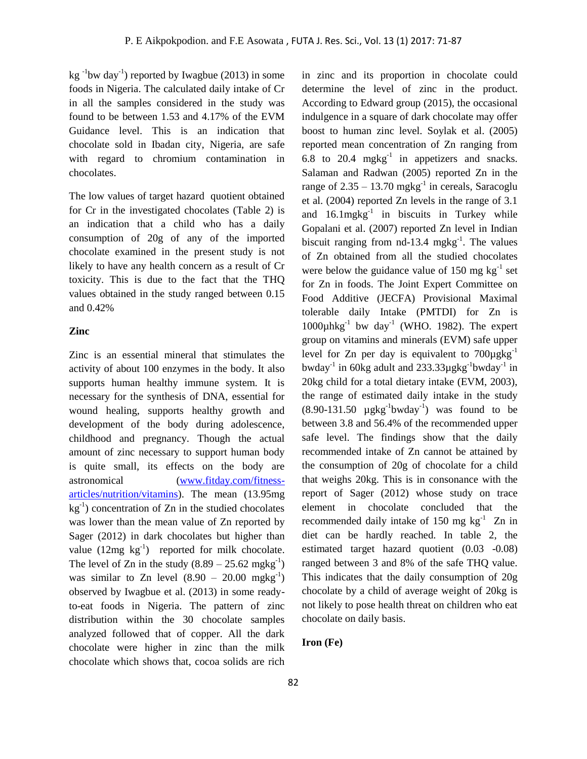$kg^{-1}$ bw day<sup>-1</sup>) reported by Iwagbue (2013) in some foods in Nigeria. The calculated daily intake of Cr in all the samples considered in the study was found to be between 1.53 and 4.17% of the EVM Guidance level. This is an indication that chocolate sold in Ibadan city, Nigeria, are safe with regard to chromium contamination in chocolates.

The low values of target hazard quotient obtained for Cr in the investigated chocolates (Table 2) is an indication that a child who has a daily consumption of 20g of any of the imported chocolate examined in the present study is not likely to have any health concern as a result of Cr toxicity. This is due to the fact that the THQ values obtained in the study ranged between 0.15 and 0.42%

### **Zinc**

Zinc is an essential mineral that stimulates the activity of about 100 enzymes in the body. It also supports human healthy immune system. It is necessary for the synthesis of DNA, essential for wound healing, supports healthy growth and development of the body during adolescence, childhood and pregnancy. Though the actual amount of zinc necessary to support human body is quite small, its effects on the body are astronomical [\(www.fitday.com/fitness](http://www.fitday.com/fitness-articles/nutrition/vitamins)[articles/nutrition/vitamins\)](http://www.fitday.com/fitness-articles/nutrition/vitamins). The mean (13.95mg  $kg^{-1}$ ) concentration of Zn in the studied chocolates was lower than the mean value of Zn reported by Sager (2012) in dark chocolates but higher than value  $(12mg \text{ kg}^{-1})$  reported for milk chocolate. The level of Zn in the study  $(8.89 - 25.62 \text{ mgkg}^{-1})$ was similar to Zn level  $(8.90 - 20.00 \text{ mgkg}^{-1})$ observed by Iwagbue et al. (2013) in some readyto-eat foods in Nigeria. The pattern of zinc distribution within the 30 chocolate samples analyzed followed that of copper. All the dark chocolate were higher in zinc than the milk chocolate which shows that, cocoa solids are rich

in zinc and its proportion in chocolate could determine the level of zinc in the product. According to Edward group (2015), the occasional indulgence in a square of dark chocolate may offer boost to human zinc level. Soylak et al. (2005) reported mean concentration of Zn ranging from 6.8 to 20.4 mgkg<sup>-1</sup> in appetizers and snacks. Salaman and Radwan (2005) reported Zn in the range of  $2.35 - 13.70$  mgkg<sup>-1</sup> in cereals, Saracoglu et al. (2004) reported Zn levels in the range of 3.1 and  $16.1$ mg $kg^{-1}$  in biscuits in Turkey while Gopalani et al. (2007) reported Zn level in Indian biscuit ranging from  $nd-13.4$  mgkg<sup>-1</sup>. The values of Zn obtained from all the studied chocolates were below the guidance value of 150 mg  $kg^{-1}$  set for Zn in foods. The Joint Expert Committee on Food Additive (JECFA) Provisional Maximal tolerable daily Intake (PMTDI) for Zn is 1000 $\mu$ hkg<sup>-1</sup> bw day<sup>-1</sup> (WHO. 1982). The expert group on vitamins and minerals (EVM) safe upper level for Zn per day is equivalent to  $700\mu$ gkg<sup>-1</sup> bwday<sup>-1</sup> in 60kg adult and 233.33µgkg<sup>-1</sup>bwday<sup>-1</sup> in 20kg child for a total dietary intake (EVM, 2003), the range of estimated daily intake in the study  $(8.90-131.50 \mu g kg^{-1}bwday^{-1})$  was found to be between 3.8 and 56.4% of the recommended upper safe level. The findings show that the daily recommended intake of Zn cannot be attained by the consumption of 20g of chocolate for a child that weighs 20kg. This is in consonance with the report of Sager (2012) whose study on trace element in chocolate concluded that the recommended daily intake of 150 mg  $kg^{-1}$  Zn in diet can be hardly reached. In table 2, the estimated target hazard quotient (0.03 -0.08) ranged between 3 and 8% of the safe THQ value. This indicates that the daily consumption of 20g chocolate by a child of average weight of 20kg is not likely to pose health threat on children who eat chocolate on daily basis.

### **Iron (Fe)**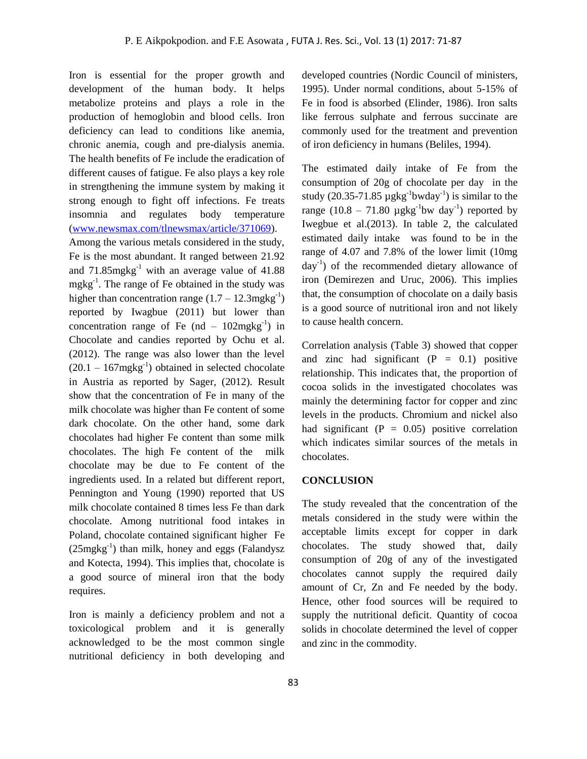Iron is essential for the proper growth and development of the human body. It helps metabolize proteins and plays a role in the production of hemoglobin and blood cells. Iron deficiency can lead to conditions like anemia, chronic anemia, cough and pre-dialysis anemia. The health benefits of Fe include the eradication of different causes of fatigue. Fe also plays a key role in strengthening the immune system by making it strong enough to fight off infections. Fe treats insomnia and regulates body temperature [\(www.newsmax.com/tlnewsmax/article/371069\)](http://www.newsmax.com/tlnewsmax/article/371069).

Among the various metals considered in the study, Fe is the most abundant. It ranged between 21.92 and  $71.85$ mgkg<sup>-1</sup> with an average value of  $41.88$ mgkg<sup>-1</sup>. The range of Fe obtained in the study was higher than concentration range  $(1.7 - 12.3 \text{mgkg}^{-1})$ reported by Iwagbue (2011) but lower than concentration range of Fe (nd  $-102 \text{mgkg}^{-1}$ ) in Chocolate and candies reported by Ochu et al. (2012). The range was also lower than the level  $(20.1 - 167 \text{mgkg}^{-1})$  obtained in selected chocolate in Austria as reported by Sager, (2012). Result show that the concentration of Fe in many of the milk chocolate was higher than Fe content of some dark chocolate. On the other hand, some dark chocolates had higher Fe content than some milk chocolates. The high Fe content of the milk chocolate may be due to Fe content of the ingredients used. In a related but different report, Pennington and Young (1990) reported that US milk chocolate contained 8 times less Fe than dark chocolate. Among nutritional food intakes in Poland, chocolate contained significant higher Fe  $(25mgkg<sup>-1</sup>)$  than milk, honey and eggs (Falandysz and Kotecta, 1994). This implies that, chocolate is a good source of mineral iron that the body requires.

Iron is mainly a deficiency problem and not a toxicological problem and it is generally acknowledged to be the most common single nutritional deficiency in both developing and

developed countries (Nordic Council of ministers, 1995). Under normal conditions, about 5-15% of Fe in food is absorbed (Elinder, 1986). Iron salts like ferrous sulphate and ferrous succinate are commonly used for the treatment and prevention of iron deficiency in humans (Beliles, 1994).

The estimated daily intake of Fe from the consumption of 20g of chocolate per day in the study  $(20.35-71.85 \mu g kg^{-1}bwday^{-1})$  is similar to the range  $(10.8 - 71.80 \mu g kg^{-1}bw day^{-1})$  reported by Iwegbue et al.(2013). In table 2, the calculated estimated daily intake was found to be in the range of 4.07 and 7.8% of the lower limit (10mg day<sup>-1</sup>) of the recommended dietary allowance of iron (Demirezen and Uruc, 2006). This implies that, the consumption of chocolate on a daily basis is a good source of nutritional iron and not likely to cause health concern.

Correlation analysis (Table 3) showed that copper and zinc had significant  $(P = 0.1)$  positive relationship. This indicates that, the proportion of cocoa solids in the investigated chocolates was mainly the determining factor for copper and zinc levels in the products. Chromium and nickel also had significant  $(P = 0.05)$  positive correlation which indicates similar sources of the metals in chocolates.

### **CONCLUSION**

The study revealed that the concentration of the metals considered in the study were within the acceptable limits except for copper in dark chocolates. The study showed that, daily consumption of 20g of any of the investigated chocolates cannot supply the required daily amount of Cr, Zn and Fe needed by the body. Hence, other food sources will be required to supply the nutritional deficit. Quantity of cocoa solids in chocolate determined the level of copper and zinc in the commodity.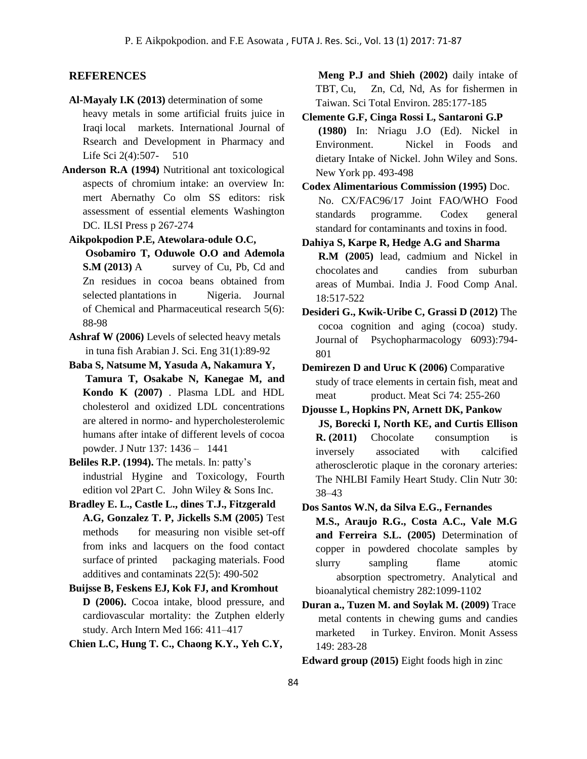### **REFERENCES**

- **Al-Mayaly I.K (2013)** determination of some heavy metals in some artificial fruits juice in Iraqi local markets. International Journal of Rsearch and Development in Pharmacy and Life Sci 2(4):507- 510
- **Anderson R.A (1994)** Nutritional ant toxicological aspects of chromium intake: an overview In: mert Abernathy Co olm SS editors: risk assessment of essential elements Washington DC. ILSI Press p 267-274
	- **Aikpokpodion P.E, Atewolara-odule O.C, Osobamiro T, Oduwole O.O and Ademola S.M (2013)** A survey of Cu, Pb, Cd and Zn residues in cocoa beans obtained from selected plantations in Nigeria. Journal of Chemical and Pharmaceutical research 5(6): 88-98
	- **Ashraf W (2006)** Levels of selected heavy metals in tuna fish Arabian J. Sci. Eng 31(1):89-92
	- **Baba S, Natsume M, Yasuda A, Nakamura Y, Tamura T, Osakabe N, Kanegae M, and Kondo K (2007)** . Plasma LDL and HDL cholesterol and oxidized LDL concentrations are altered in normo- and hypercholesterolemic humans after intake of different levels of cocoa powder. J Nutr 137: 1436 – 1441
	- **Beliles R.P. (1994).** The metals. In: patty's industrial Hygine and Toxicology, Fourth edition vol 2Part C. John Wiley & Sons Inc.
	- **Bradley E. L., Castle L., dines T.J., Fitzgerald A.G, Gonzalez T. P, Jickells S.M (2005)** Test methods for measuring non visible set-off from inks and lacquers on the food contact surface of printed packaging materials. Food additives and contaminats 22(5): 490-502
	- **Buijsse B, Feskens EJ, Kok FJ, and Kromhout D (2006).** Cocoa intake, blood pressure, and cardiovascular mortality: the Zutphen elderly study. Arch Intern Med 166: 411–417
	- **Chien L.C, Hung T. C., Chaong K.Y., Yeh C.Y,**

**Meng P.J and Shieh (2002)** daily intake of TBT, Cu, Zn, Cd, Nd, As for fishermen in Taiwan. Sci Total Environ. 285:177-185

**Clemente G.F, Cinga Rossi L, Santaroni G.P (1980)** In: Nriagu J.O (Ed). Nickel in Environment. Nickel in Foods and dietary Intake of Nickel. John Wiley and Sons. New York pp. 493-498

**Codex Alimentarious Commission (1995)** Doc. No. CX/FAC96/17 Joint FAO/WHO Food standards programme. Codex general standard for contaminants and toxins in food.

**Dahiya S, Karpe R, Hedge A.G and Sharma R.M (2005)** lead, cadmium and Nickel in chocolates and candies from suburban areas of Mumbai. India J. Food Comp Anal.

**Desideri G., Kwik-Uribe C, Grassi D (2012)** The cocoa cognition and aging (cocoa) study. Journal of Psychopharmacology 6093):794- 801

18:517-522

- **Demirezen D and Uruc K (2006)** Comparative study of trace elements in certain fish, meat and meat product. Meat Sci 74: 255-260
- **Djousse L, Hopkins PN, Arnett DK, Pankow JS, Borecki I, North KE, and Curtis Ellison R. (2011)** Chocolate consumption is inversely associated with calcified atherosclerotic plaque in the coronary arteries: The NHLBI Family Heart Study. Clin Nutr 30: 38–43
- **Dos Santos W.N, da Silva E.G., Fernandes M.S., Araujo R.G., Costa A.C., Vale M.G and Ferreira S.L. (2005)** Determination of copper in powdered chocolate samples by slurry sampling flame atomic absorption spectrometry. Analytical and bioanalytical chemistry 282:1099-1102
- **Duran a., Tuzen M. and Soylak M. (2009)** Trace metal contents in chewing gums and candies marketed in Turkey. Environ. Monit Assess 149: 283-28

**Edward group (2015)** Eight foods high in zinc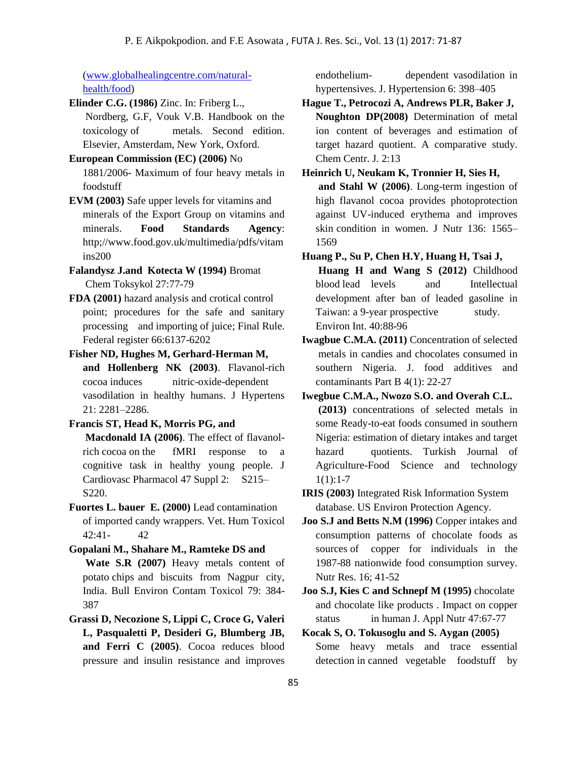[\(www.globalhealingcentre.com/natural](http://www.globalhealingcentre.com/natural-health/food)[health/food\)](http://www.globalhealingcentre.com/natural-health/food)

**Elinder C.G. (1986)** Zinc. In: Friberg L., Nordberg, G.F, Vouk V.B. Handbook on the toxicology of metals. Second edition. Elsevier, Amsterdam, New York, Oxford.

- **European Commission (EC) (2006)** No 1881/2006- Maximum of four heavy metals in foodstuff
- **EVM (2003)** Safe upper levels for vitamins and minerals of the Export Group on vitamins and minerals. **Food Standards Agency**: http;//www.food.gov.uk/multimedia/pdfs/vitam ins200
- **Falandysz J.and Kotecta W (1994)** Bromat Chem Toksykol 27:77-79
- **FDA (2001)** hazard analysis and crotical control point; procedures for the safe and sanitary processing and importing of juice; Final Rule. Federal register 66:6137-6202
- **Fisher ND, Hughes M, Gerhard-Herman M, and Hollenberg NK (2003)**. Flavanol-rich cocoa induces nitric-oxide-dependent vasodilation in healthy humans. J Hypertens 21: 2281–2286.
- **Francis ST, Head K, Morris PG, and**

**Macdonald IA (2006)**. The effect of flavanolrich cocoa on the fMRI response to a cognitive task in healthy young people. J Cardiovasc Pharmacol 47 Suppl 2: S215– S220.

- **Fuortes L. bauer E. (2000)** Lead contamination of imported candy wrappers. Vet. Hum Toxicol 42:41- 42
- **Gopalani M., Shahare M., Ramteke DS and Wate S.R (2007)** Heavy metals content of potato chips and biscuits from Nagpur city, India. Bull Environ Contam Toxicol 79: 384- 387
- **Grassi D, Necozione S, Lippi C, Croce G, Valeri L, Pasqualetti P, Desideri G, Blumberg JB, and Ferri C (2005)**. Cocoa reduces blood pressure and insulin resistance and improves

endothelium- dependent vasodilation in hypertensives. J. Hypertension 6: 398–405

**Hague T., Petrocozi A, Andrews PLR, Baker J, Noughton DP(2008)** Determination of metal ion content of beverages and estimation of target hazard quotient. A comparative study. Chem Centr. J. 2:13

**Heinrich U, Neukam K, Tronnier H, Sies H, and Stahl W (2006)**. Long-term ingestion of high flavanol cocoa provides photoprotection against UV-induced erythema and improves skin condition in women. J Nutr 136: 1565– 1569

- **Huang P., Su P, Chen H.Y, Huang H, Tsai J, Huang H and Wang S (2012)** Childhood blood lead levels and Intellectual development after ban of leaded gasoline in Taiwan: a 9-year prospective study. Environ Int. 40:88-96
- **Iwagbue C.M.A. (2011)** Concentration of selected metals in candies and chocolates consumed in southern Nigeria. J. food additives and contaminants Part B 4(1): 22-27
- **Iwegbue C.M.A., Nwozo S.O. and Overah C.L. (2013)** concentrations of selected metals in some Ready-to-eat foods consumed in southern Nigeria: estimation of dietary intakes and target hazard quotients. Turkish Journal of Agriculture-Food Science and technology  $1(1):1-7$
- **IRIS (2003)** Integrated Risk Information System database. US Environ Protection Agency.
- **Joo S.J and Betts N.M (1996)** Copper intakes and consumption patterns of chocolate foods as sources of copper for individuals in the 1987-88 nationwide food consumption survey. Nutr Res. 16; 41-52
- **Joo S.J, Kies C and Schnepf M (1995)** chocolate and chocolate like products . Impact on copper status in human J. Appl Nutr 47:67-77
- **Kocak S, O. Tokusoglu and S. Aygan (2005)** Some heavy metals and trace essential detection in canned vegetable foodstuff by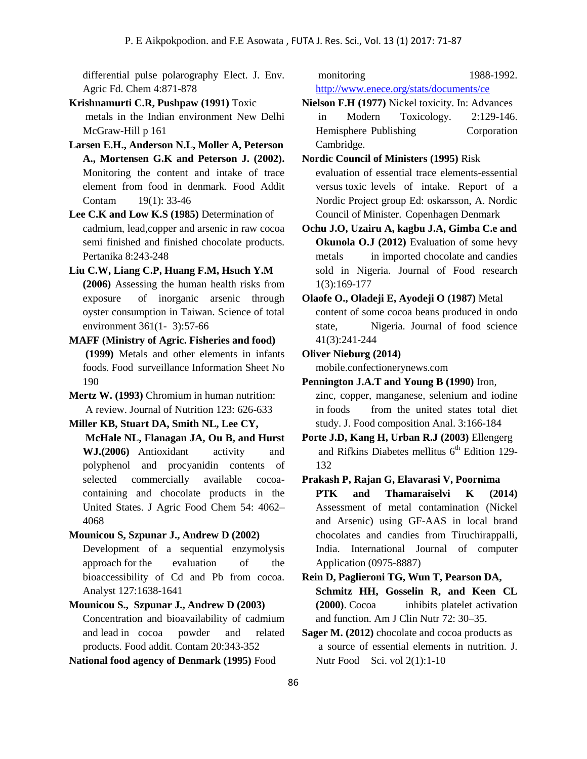differential pulse polarography Elect. J. Env. Agric Fd. Chem 4:871-878

- **Krishnamurti C.R, Pushpaw (1991)** Toxic metals in the Indian environment New Delhi McGraw-Hill p 161
- **Larsen E.H., Anderson N.L, Moller A, Peterson A., Mortensen G.K and Peterson J. (2002).** Monitoring the content and intake of trace element from food in denmark. Food Addit Contam 19(1): 33-46
- **Lee C.K and Low K.S (1985)** Determination of cadmium, lead,copper and arsenic in raw cocoa semi finished and finished chocolate products. Pertanika 8:243-248
- **Liu C.W, Liang C.P, Huang F.M, Hsuch Y.M (2006)** Assessing the human health risks from exposure of inorganic arsenic through oyster consumption in Taiwan. Science of total environment 361(1- 3):57-66
- **MAFF (Ministry of Agric. Fisheries and food) (1999)** Metals and other elements in infants foods. Food surveillance Information Sheet No 190
- **Mertz W. (1993)** Chromium in human nutrition: A review. Journal of Nutrition 123: 626-633
- **Miller KB, Stuart DA, Smith NL, Lee CY, McHale NL, Flanagan JA, Ou B, and Hurst** 
	- **WJ.(2006)** Antioxidant activity and polyphenol and procyanidin contents of selected commercially available cocoacontaining and chocolate products in the United States. J Agric Food Chem 54: 4062– 4068
- **Mounicou S, Szpunar J., Andrew D (2002)**
	- Development of a sequential enzymolysis approach for the evaluation of the bioaccessibility of Cd and Pb from cocoa. Analyst 127:1638-1641
- **Mounicou S., Szpunar J., Andrew D (2003)** Concentration and bioavailability of cadmium and lead in cocoa powder and related products. Food addit. Contam 20:343-352

**National food agency of Denmark (1995)** Food

monitoring 1988-1992. <http://www.enece.org/stats/documents/ce>

- **Nielson F.H (1977)** Nickel toxicity. In: Advances in Modern Toxicology. 2:129-146. Hemisphere Publishing Corporation Cambridge.
- **Nordic Council of Ministers (1995)** Risk evaluation of essential trace elements-essential versus toxic levels of intake. Report of a Nordic Project group Ed: oskarsson, A. Nordic Council of Minister. Copenhagen Denmark
- **Ochu J.O, Uzairu A, kagbu J.A, Gimba C.e and Okunola O.J (2012)** Evaluation of some hevy metals in imported chocolate and candies sold in Nigeria. Journal of Food research 1(3):169-177
- **Olaofe O., Oladeji E, Ayodeji O (1987)** Metal content of some cocoa beans produced in ondo state, Nigeria. Journal of food science 41(3):241-244
- **Oliver Nieburg (2014)**

Application (0975-8887)

mobile.confectionerynews.com

- **Pennington J.A.T and Young B (1990)** Iron, zinc, copper, manganese, selenium and iodine in foods from the united states total diet study. J. Food composition Anal. 3:166-184
- **Porte J.D, Kang H, Urban R.J (2003)** Ellengerg and Rifkins Diabetes mellitus  $6<sup>th</sup>$  Edition 129-132
- **Prakash P, Rajan G, Elavarasi V, Poornima PTK and Thamaraiselvi K (2014)**  Assessment of metal contamination (Nickel and Arsenic) using GF-AAS in local brand chocolates and candies from Tiruchirappalli, India. International Journal of computer
- **Rein D, Paglieroni TG, Wun T, Pearson DA, Schmitz HH, Gosselin R, and Keen CL (2000)**. Cocoa inhibits platelet activation and function. Am J Clin Nutr 72: 30–35.
- **Sager M. (2012)** chocolate and cocoa products as a source of essential elements in nutrition. J. Nutr Food Sci. vol 2(1):1-10